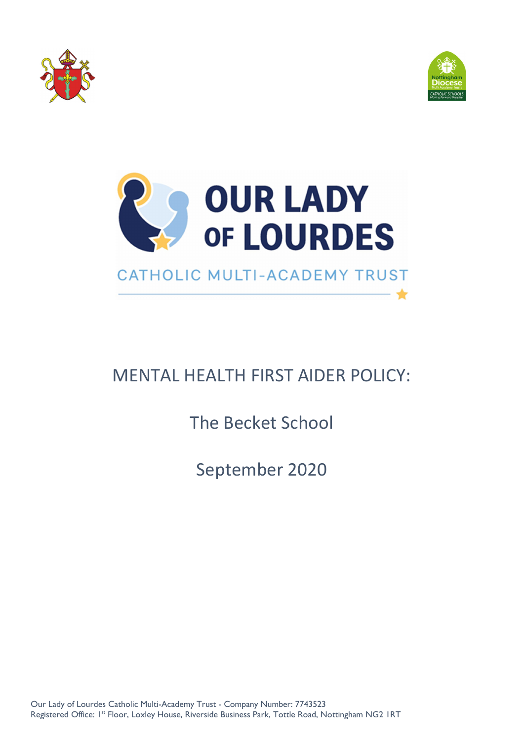



★



# MENTAL HEALTH FIRST AIDER POLICY:

The Becket School

September 2020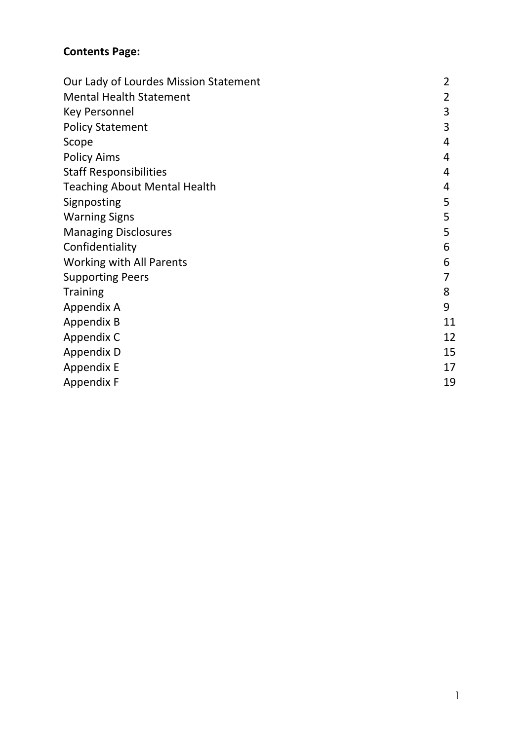# **Contents Page:**

| Our Lady of Lourdes Mission Statement | 2  |
|---------------------------------------|----|
| <b>Mental Health Statement</b>        | 2  |
| <b>Key Personnel</b>                  | 3  |
| <b>Policy Statement</b>               | 3  |
| Scope                                 | 4  |
| <b>Policy Aims</b>                    | 4  |
| <b>Staff Responsibilities</b>         | 4  |
| <b>Teaching About Mental Health</b>   | 4  |
| Signposting                           | 5  |
| <b>Warning Signs</b>                  | 5  |
| <b>Managing Disclosures</b>           | 5  |
| Confidentiality                       | 6  |
| <b>Working with All Parents</b>       | 6  |
| <b>Supporting Peers</b>               |    |
| <b>Training</b>                       | 8  |
| Appendix A                            | 9  |
| <b>Appendix B</b>                     | 11 |
| Appendix C                            | 12 |
| Appendix D                            | 15 |
| Appendix E                            | 17 |
| <b>Appendix F</b>                     | 19 |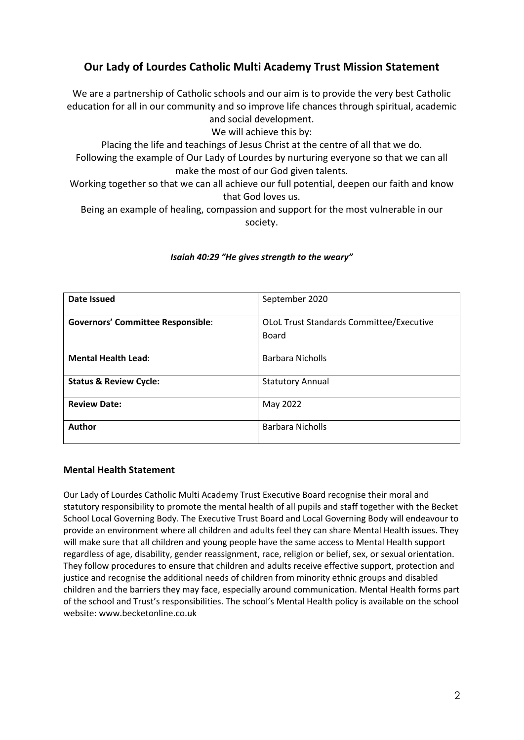# **Our Lady of Lourdes Catholic Multi Academy Trust Mission Statement**

We are a partnership of Catholic schools and our aim is to provide the very best Catholic education for all in our community and so improve life chances through spiritual, academic and social development.

We will achieve this by:

Placing the life and teachings of Jesus Christ at the centre of all that we do. Following the example of Our Lady of Lourdes by nurturing everyone so that we can all make the most of our God given talents.

Working together so that we can all achieve our full potential, deepen our faith and know that God loves us.

Being an example of healing, compassion and support for the most vulnerable in our society.

| Date Issued                              | September 2020                                           |  |
|------------------------------------------|----------------------------------------------------------|--|
| <b>Governors' Committee Responsible:</b> | <b>OLOL Trust Standards Committee/Executive</b><br>Board |  |
|                                          |                                                          |  |
| <b>Mental Health Lead:</b>               | <b>Barbara Nicholls</b>                                  |  |
| <b>Status &amp; Review Cycle:</b>        | <b>Statutory Annual</b>                                  |  |
| <b>Review Date:</b>                      | May 2022                                                 |  |
| Author                                   | <b>Barbara Nicholls</b>                                  |  |

#### *Isaiah 40:29 "He gives strength to the weary"*

#### **Mental Health Statement**

Our Lady of Lourdes Catholic Multi Academy Trust Executive Board recognise their moral and statutory responsibility to promote the mental health of all pupils and staff together with the Becket School Local Governing Body. The Executive Trust Board and Local Governing Body will endeavour to provide an environment where all children and adults feel they can share Mental Health issues. They will make sure that all children and young people have the same access to Mental Health support regardless of age, disability, gender reassignment, race, religion or belief, sex, or sexual orientation. They follow procedures to ensure that children and adults receive effective support, protection and justice and recognise the additional needs of children from minority ethnic groups and disabled children and the barriers they may face, especially around communication. Mental Health forms part of the school and Trust's responsibilities. The school's Mental Health policy is available on the school website: www.becketonline.co.uk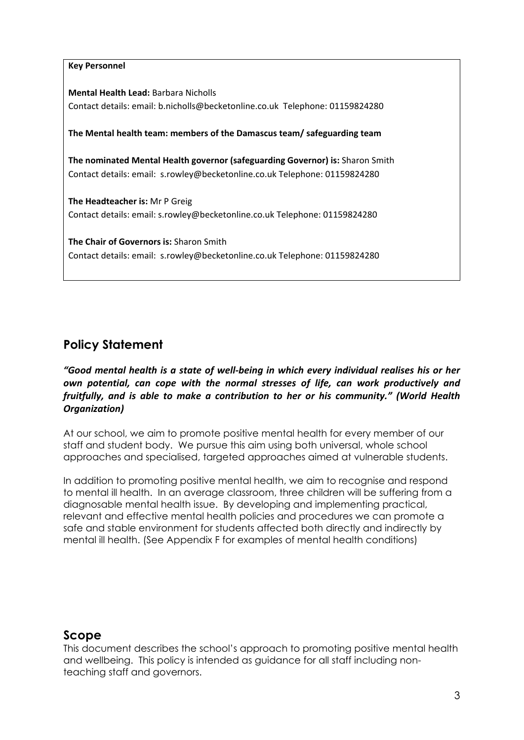#### **Key Personnel**

**Mental Health Lead:** Barbara Nicholls Contact details: email: b.nicholls@becketonline.co.uk Telephone: 01159824280

#### **The Mental health team: members of the Damascus team/ safeguarding team**

**The nominated Mental Health governor (safeguarding Governor) is:** Sharon Smith Contact details: email: s.rowley@becketonline.co.uk Telephone: 01159824280

**The Headteacher is:** Mr P Greig Contact details: email: s.rowley@becketonline.co.uk Telephone: 01159824280

**The Chair of Governors is:** Sharon Smith Contact details: email: s.rowley@becketonline.co.uk Telephone: 01159824280

# **Policy Statement**

*"Good mental health is a state of well‐being in which every individual realises his or her own potential, can cope with the normal stresses of life, can work productively and fruitfully, and is able to make a contribution to her or his community." (World Health Organization)*

At our school, we aim to promote positive mental health for every member of our staff and student body. We pursue this aim using both universal, whole school approaches and specialised, targeted approaches aimed at vulnerable students.

In addition to promoting positive mental health, we aim to recognise and respond to mental ill health. In an average classroom, three children will be suffering from a diagnosable mental health issue. By developing and implementing practical, relevant and effective mental health policies and procedures we can promote a safe and stable environment for students affected both directly and indirectly by mental ill health. (See Appendix F for examples of mental health conditions)

# **Scope**

This document describes the school's approach to promoting positive mental health and wellbeing. This policy is intended as guidance for all staff including nonteaching staff and governors.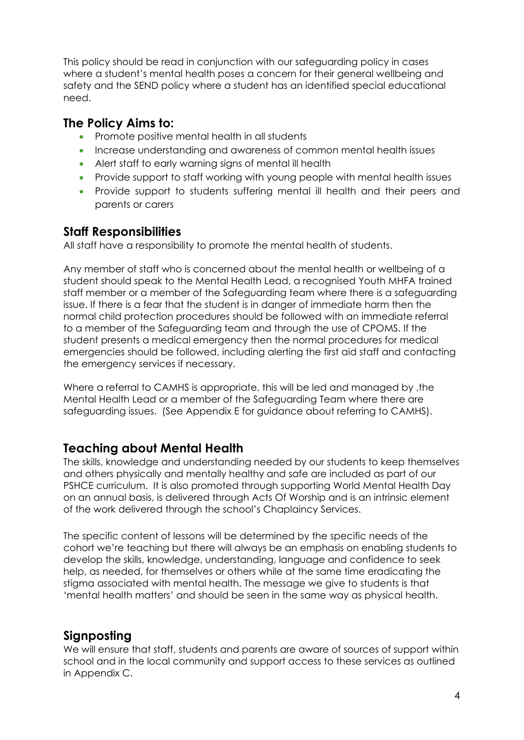This policy should be read in conjunction with our safeguarding policy in cases where a student's mental health poses a concern for their general wellbeing and safety and the SEND policy where a student has an identified special educational need.

# **The Policy Aims to:**

- Promote positive mental health in all students
- Increase understanding and awareness of common mental health issues
- Alert staff to early warning signs of mental ill health
- Provide support to staff working with young people with mental health issues
- Provide support to students suffering mental ill health and their peers and parents or carers

# **Staff Responsibilities**

All staff have a responsibility to promote the mental health of students.

Any member of staff who is concerned about the mental health or wellbeing of a student should speak to the Mental Health Lead, a recognised Youth MHFA trained staff member or a member of the Safeguarding team where there is a safeguarding issue. If there is a fear that the student is in danger of immediate harm then the normal child protection procedures should be followed with an immediate referral to a member of the Safeguarding team and through the use of CPOMS. If the student presents a medical emergency then the normal procedures for medical emergencies should be followed, including alerting the first aid staff and contacting the emergency services if necessary.

Where a referral to CAMHS is appropriate, this will be led and managed by ,the Mental Health Lead or a member of the Safeguarding Team where there are safeguarding issues. (See Appendix E for guidance about referring to CAMHS).

# **Teaching about Mental Health**

The skills, knowledge and understanding needed by our students to keep themselves and others physically and mentally healthy and safe are included as part of our PSHCE curriculum. It is also promoted through supporting World Mental Health Day on an annual basis, is delivered through Acts Of Worship and is an intrinsic element of the work delivered through the school's Chaplaincy Services.

The specific content of lessons will be determined by the specific needs of the cohort we're teaching but there will always be an emphasis on enabling students to develop the skills, knowledge, understanding, language and confidence to seek help, as needed, for themselves or others while at the same time eradicating the stigma associated with mental health. The message we give to students is that 'mental health matters' and should be seen in the same way as physical health.

# **Signposting**

We will ensure that staff, students and parents are aware of sources of support within school and in the local community and support access to these services as outlined in Appendix C.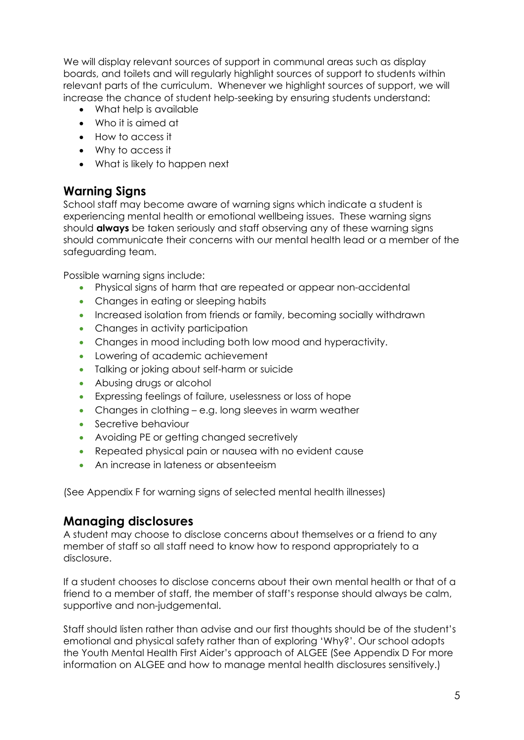We will display relevant sources of support in communal areas such as display boards, and toilets and will regularly highlight sources of support to students within relevant parts of the curriculum. Whenever we highlight sources of support, we will increase the chance of student help-seeking by ensuring students understand:

- What help is available
- Who it is aimed at
- How to access it
- Why to access it
- What is likely to happen next

# **Warning Signs**

School staff may become aware of warning signs which indicate a student is experiencing mental health or emotional wellbeing issues. These warning signs should **always** be taken seriously and staff observing any of these warning signs should communicate their concerns with our mental health lead or a member of the safeguarding team.

Possible warning signs include:

- Physical signs of harm that are repeated or appear non-accidental
- Changes in eating or sleeping habits
- Increased isolation from friends or family, becoming socially withdrawn
- Changes in activity participation
- Changes in mood including both low mood and hyperactivity.
- Lowering of academic achievement
- Talking or joking about self-harm or suicide
- Abusing drugs or alcohol
- Expressing feelings of failure, uselessness or loss of hope
- Changes in clothing e.g. long sleeves in warm weather
- Secretive behaviour
- Avoiding PE or getting changed secretively
- Repeated physical pain or nausea with no evident cause
- An increase in lateness or absenteeism

(See Appendix F for warning signs of selected mental health illnesses)

# **Managing disclosures**

A student may choose to disclose concerns about themselves or a friend to any member of staff so all staff need to know how to respond appropriately to a disclosure.

If a student chooses to disclose concerns about their own mental health or that of a friend to a member of staff, the member of staff's response should always be calm, supportive and non-judgemental.

Staff should listen rather than advise and our first thoughts should be of the student's emotional and physical safety rather than of exploring 'Why?'. Our school adopts the Youth Mental Health First Aider's approach of ALGEE (See Appendix D For more information on ALGEE and how to manage mental health disclosures sensitively.)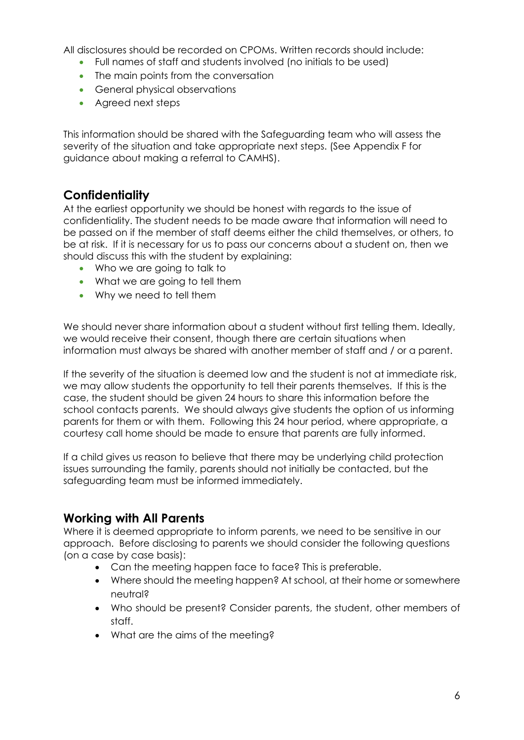All disclosures should be recorded on CPOMs. Written records should include:

- Full names of staff and students involved (no initials to be used)
- The main points from the conversation
- **•** General physical observations
- Agreed next steps

This information should be shared with the Safeguarding team who will assess the severity of the situation and take appropriate next steps. (See Appendix F for guidance about making a referral to CAMHS).

# **Confidentiality**

At the earliest opportunity we should be honest with regards to the issue of confidentiality. The student needs to be made aware that information will need to be passed on if the member of staff deems either the child themselves, or others, to be at risk. If it is necessary for us to pass our concerns about a student on, then we should discuss this with the student by explaining:

- Who we are going to talk to
- What we are going to tell them
- Why we need to tell them

We should never share information about a student without first telling them. Ideally, we would receive their consent, though there are certain situations when information must always be shared with another member of staff and / or a parent.

If the severity of the situation is deemed low and the student is not at immediate risk, we may allow students the opportunity to tell their parents themselves. If this is the case, the student should be given 24 hours to share this information before the school contacts parents. We should always give students the option of us informing parents for them or with them. Following this 24 hour period, where appropriate, a courtesy call home should be made to ensure that parents are fully informed.

If a child gives us reason to believe that there may be underlying child protection issues surrounding the family, parents should not initially be contacted, but the safeguarding team must be informed immediately.

# **Working with All Parents**

Where it is deemed appropriate to inform parents, we need to be sensitive in our approach. Before disclosing to parents we should consider the following questions (on a case by case basis):

- Can the meeting happen face to face? This is preferable.
- Where should the meeting happen? At school, at their home or somewhere neutral?
- Who should be present? Consider parents, the student, other members of staff.
- What are the aims of the meeting?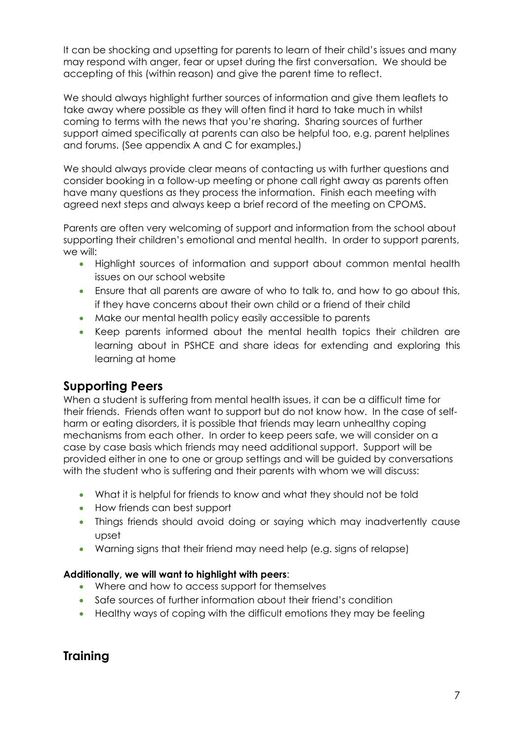It can be shocking and upsetting for parents to learn of their child's issues and many may respond with anger, fear or upset during the first conversation. We should be accepting of this (within reason) and give the parent time to reflect.

We should always highlight further sources of information and give them leaflets to take away where possible as they will often find it hard to take much in whilst coming to terms with the news that you're sharing. Sharing sources of further support aimed specifically at parents can also be helpful too, e.g. parent helplines and forums. (See appendix A and C for examples.)

We should always provide clear means of contacting us with further questions and consider booking in a follow-up meeting or phone call right away as parents often have many questions as they process the information. Finish each meeting with agreed next steps and always keep a brief record of the meeting on CPOMS.

Parents are often very welcoming of support and information from the school about supporting their children's emotional and mental health. In order to support parents, we will:

- Highlight sources of information and support about common mental health issues on our school website
- Ensure that all parents are aware of who to talk to, and how to go about this, if they have concerns about their own child or a friend of their child
- Make our mental health policy easily accessible to parents
- Keep parents informed about the mental health topics their children are learning about in PSHCE and share ideas for extending and exploring this learning at home

# **Supporting Peers**

When a student is suffering from mental health issues, it can be a difficult time for their friends. Friends often want to support but do not know how. In the case of selfharm or eating disorders, it is possible that friends may learn unhealthy coping mechanisms from each other. In order to keep peers safe, we will consider on a case by case basis which friends may need additional support. Support will be provided either in one to one or group settings and will be guided by conversations with the student who is suffering and their parents with whom we will discuss:

- What it is helpful for friends to know and what they should not be told
- How friends can best support
- Things friends should avoid doing or saying which may inadvertently cause upset
- Warning signs that their friend may need help (e.g. signs of relapse)

# **Additionally, we will want to highlight with peers**:

- Where and how to access support for themselves
- Safe sources of further information about their friend's condition
- Healthy ways of coping with the difficult emotions they may be feeling

# **Training**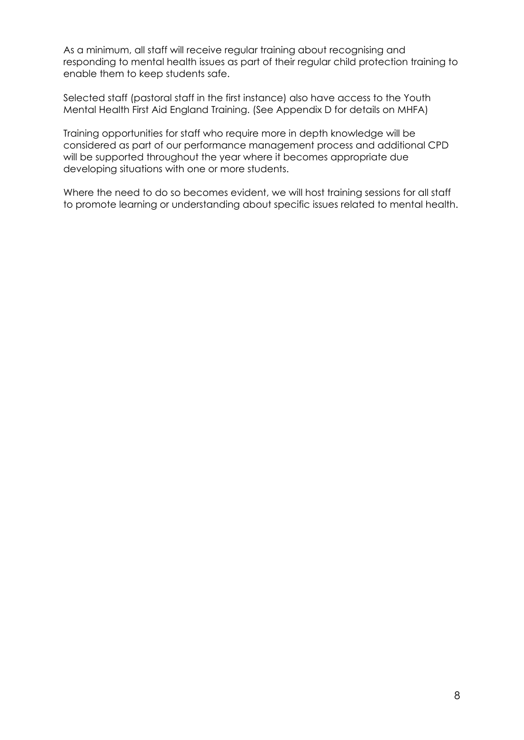As a minimum, all staff will receive regular training about recognising and responding to mental health issues as part of their regular child protection training to enable them to keep students safe.

Selected staff (pastoral staff in the first instance) also have access to the Youth Mental Health First Aid England Training. (See Appendix D for details on MHFA)

Training opportunities for staff who require more in depth knowledge will be considered as part of our performance management process and additional CPD will be supported throughout the year where it becomes appropriate due developing situations with one or more students.

Where the need to do so becomes evident, we will host training sessions for all staff to promote learning or understanding about specific issues related to mental health.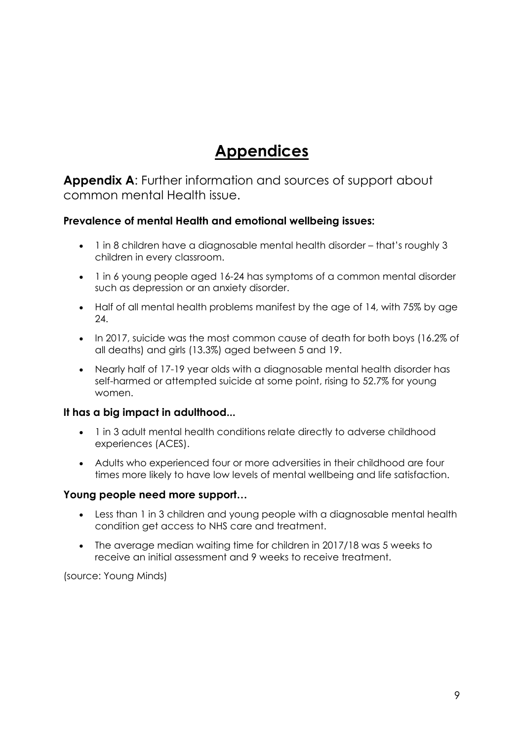# **Appendices**

**Appendix A**: Further information and sources of support about common mental Health issue.

# **Prevalence of mental Health and emotional wellbeing issues:**

- 1 in 8 children have a diagnosable mental health disorder that's roughly 3 children in every classroom.
- 1 in 6 young people aged 16-24 has symptoms of a common mental disorder such as depression or an anxiety disorder.
- Half of all mental health problems manifest by the age of 14, with 75% by age 24.
- In 2017, suicide was the most common cause of death for both boys (16.2% of all deaths) and girls (13.3%) aged between 5 and 19.
- Nearly half of 17-19 year olds with a diagnosable mental health disorder has self-harmed or attempted suicide at some point, rising to 52.7% for young women.

### **It has a big impact in adulthood...**

- 1 in 3 adult mental health conditions relate directly to adverse childhood experiences (ACES).
- Adults who experienced four or more adversities in their childhood are four times more likely to have low levels of mental wellbeing and life satisfaction.

### **Young people need more support…**

- Less than 1 in 3 children and young people with a diagnosable mental health condition get access to NHS care and treatment.
- The average median waiting time for children in 2017/18 was 5 weeks to receive an initial assessment and 9 weeks to receive treatment.

(source: Young Minds)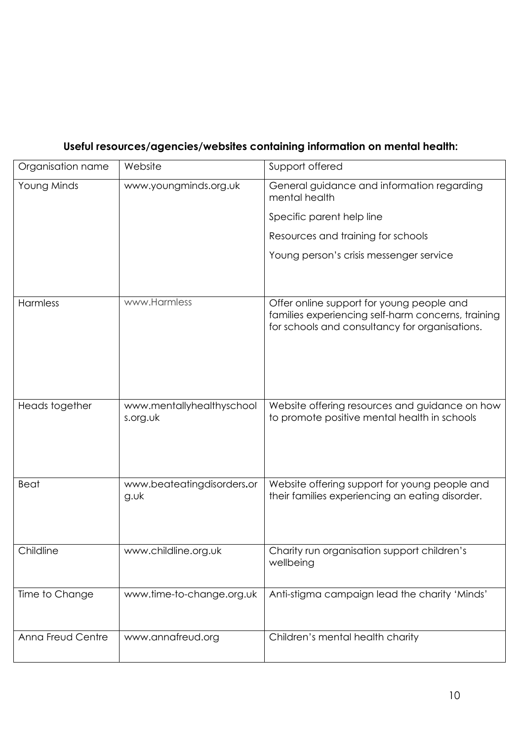# **Useful resources/agencies/websites containing information on mental health:**

| Organisation name | Website                               | Support offered                                                                                                                                   |
|-------------------|---------------------------------------|---------------------------------------------------------------------------------------------------------------------------------------------------|
| Young Minds       | www.youngminds.org.uk                 | General guidance and information regarding<br>mental health                                                                                       |
|                   |                                       | Specific parent help line                                                                                                                         |
|                   |                                       | Resources and training for schools                                                                                                                |
|                   |                                       | Young person's crisis messenger service                                                                                                           |
|                   |                                       |                                                                                                                                                   |
| Harmless          | www.Harmless                          | Offer online support for young people and<br>families experiencing self-harm concerns, training<br>for schools and consultancy for organisations. |
| Heads together    | www.mentallyhealthyschool<br>s.org.uk | Website offering resources and guidance on how<br>to promote positive mental health in schools                                                    |
| <b>Beat</b>       | www.beateatingdisorders.or<br>g.wk    | Website offering support for young people and<br>their families experiencing an eating disorder.                                                  |
| Childline         | www.childline.org.uk                  | Charity run organisation support children's<br>wellbeing                                                                                          |
| Time to Change    | www.time-to-change.org.uk             | Anti-stigma campaign lead the charity 'Minds'                                                                                                     |
| Anna Freud Centre | www.annafreud.org                     | Children's mental health charity                                                                                                                  |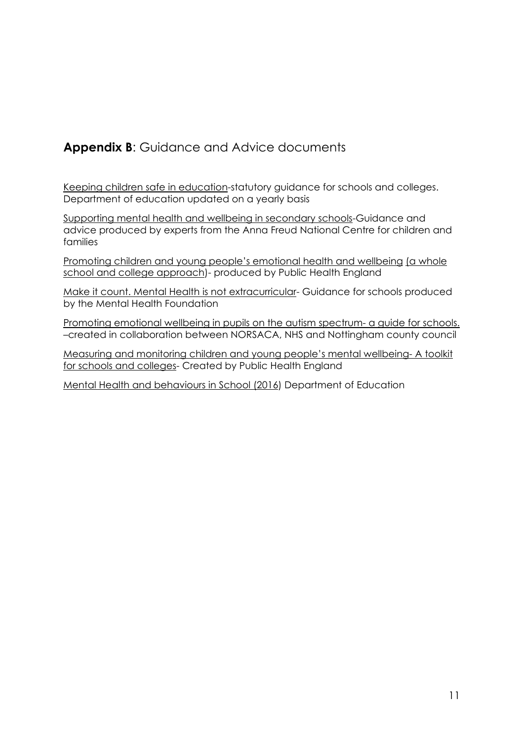# **Appendix B**: Guidance and Advice documents

Keeping children safe in education-statutory guidance for schools and colleges. Department of education updated on a yearly basis

Supporting mental health and wellbeing in secondary schools-Guidance and advice produced by experts from the Anna Freud National Centre for children and families

Promoting children and young people's emotional health and wellbeing (a whole school and college approach)- produced by Public Health England

Make it count. Mental Health is not extracurricular- Guidance for schools produced by the Mental Health Foundation

Promoting emotional wellbeing in pupils on the autism spectrum- a guide for schools. –created in collaboration between NORSACA, NHS and Nottingham county council

Measuring and monitoring children and young people's mental wellbeing- A toolkit for schools and colleges- Created by Public Health England

Mental Health and behaviours in School (2016) Department of Education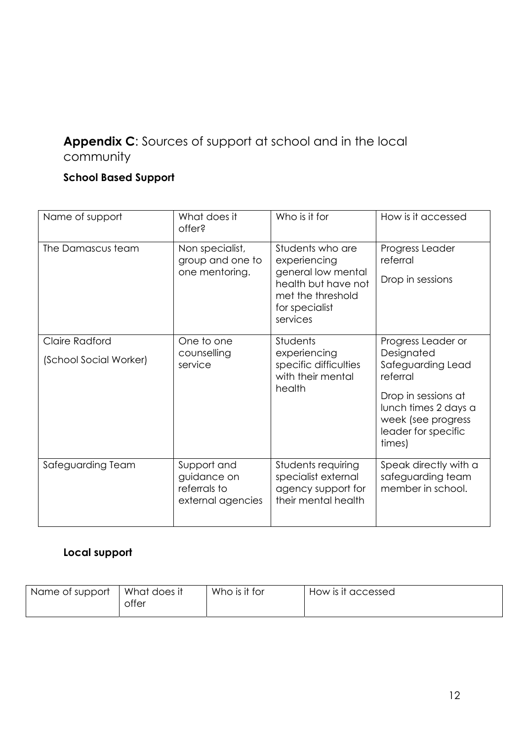# **Appendix C**: Sources of support at school and in the local community

# **School Based Support**

| Name of support                          | What does it<br>offer?                                          | Who is it for                                                                                                                    | How is it accessed                                                                                                                                                      |
|------------------------------------------|-----------------------------------------------------------------|----------------------------------------------------------------------------------------------------------------------------------|-------------------------------------------------------------------------------------------------------------------------------------------------------------------------|
| The Damascus team                        | Non specialist,<br>group and one to<br>one mentoring.           | Students who are<br>experiencing<br>general low mental<br>health but have not<br>met the threshold<br>for specialist<br>services | Progress Leader<br>referral<br>Drop in sessions                                                                                                                         |
| Claire Radford<br>(School Social Worker) | One to one<br>counselling<br>service                            | <b>Students</b><br>experiencing<br>specific difficulties<br>with their mental<br>health                                          | Progress Leader or<br>Designated<br>Safeguarding Lead<br>referral<br>Drop in sessions at<br>lunch times 2 days a<br>week (see progress<br>leader for specific<br>times) |
| Safeguarding Team                        | Support and<br>guidance on<br>referrals to<br>external agencies | Students requiring<br>specialist external<br>agency support for<br>their mental health                                           | Speak directly with a<br>safeguarding team<br>member in school.                                                                                                         |

# **Local support**

| Name ot support-<br>offer | Who is it for<br>What does it | How is it accessed |  |
|---------------------------|-------------------------------|--------------------|--|
|---------------------------|-------------------------------|--------------------|--|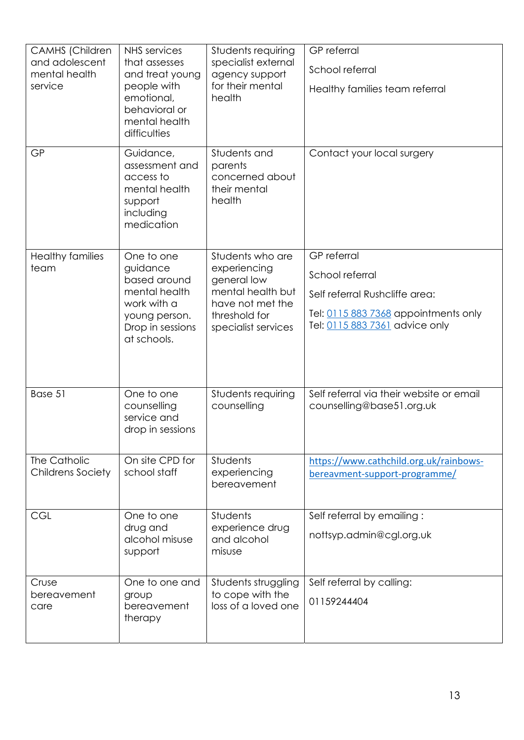| CAMHS (Children<br>and adolescent<br>mental health<br>service<br><b>GP</b> | <b>NHS</b> services<br>that assesses<br>and treat young<br>people with<br>emotional,<br>behavioral or<br>mental health<br>difficulties<br>Guidance, | Students requiring<br>specialist external<br>agency support<br>for their mental<br>health<br>Students and | <b>GP</b> referral<br>School referral<br>Healthy families team referral<br>Contact your local surgery |
|----------------------------------------------------------------------------|-----------------------------------------------------------------------------------------------------------------------------------------------------|-----------------------------------------------------------------------------------------------------------|-------------------------------------------------------------------------------------------------------|
|                                                                            | assessment and<br>access to<br>mental health<br>support<br>including<br>medication                                                                  | parents<br>concerned about<br>their mental<br>health                                                      |                                                                                                       |
| <b>Healthy families</b><br>team                                            | One to one<br>guidance                                                                                                                              | Students who are<br>experiencing                                                                          | <b>GP</b> referral                                                                                    |
|                                                                            | based around                                                                                                                                        | general low                                                                                               | School referral                                                                                       |
|                                                                            | mental health<br>work with a                                                                                                                        | mental health but<br>have not met the                                                                     | Self referral Rushcliffe area:                                                                        |
|                                                                            | young person.<br>Drop in sessions<br>at schools.                                                                                                    | threshold for<br>specialist services                                                                      | Tel: 0115 883 7368 appointments only<br>Tel: 0115 883 7361 advice only                                |
| Base 51                                                                    | One to one<br>counselling<br>service and<br>drop in sessions                                                                                        | Students requiring<br>counselling                                                                         | Self referral via their website or email<br>counselling@base51.org.uk                                 |
| The Catholic<br><b>Childrens Society</b>                                   | On site CPD for<br>school staff                                                                                                                     | Students<br>experiencing<br>bereavement                                                                   | https://www.cathchild.org.uk/rainbows-<br>bereavment-support-programme/                               |
| <b>CGL</b>                                                                 | One to one<br>drug and                                                                                                                              | Students<br>experience drug                                                                               | Self referral by emailing:                                                                            |
|                                                                            | alcohol misuse<br>support                                                                                                                           | and alcohol<br>misuse                                                                                     | nottsyp.admin@cgl.org.uk                                                                              |
| Cruse                                                                      | One to one and                                                                                                                                      | Students struggling                                                                                       | Self referral by calling:                                                                             |
| bereavement<br>care                                                        | group<br>bereavement<br>therapy                                                                                                                     | to cope with the<br>loss of a loved one                                                                   | 01159244404                                                                                           |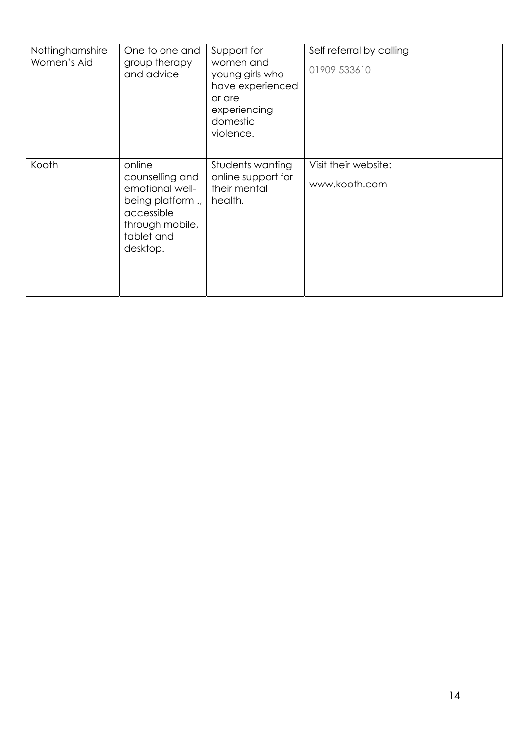| Nottinghamshire<br>Women's Aid | One to one and<br>group therapy<br>and advice                                                                               | Support for<br>women and<br>young girls who<br>have experienced<br>or are<br>experiencing<br>domestic<br>violence. | Self referral by calling<br>01909 533610 |
|--------------------------------|-----------------------------------------------------------------------------------------------------------------------------|--------------------------------------------------------------------------------------------------------------------|------------------------------------------|
| Kooth                          | online<br>counselling and<br>emotional well-<br>being platform.,<br>accessible<br>through mobile,<br>tablet and<br>desktop. | Students wanting<br>online support for<br>their mental<br>health.                                                  | Visit their website:<br>www.kooth.com    |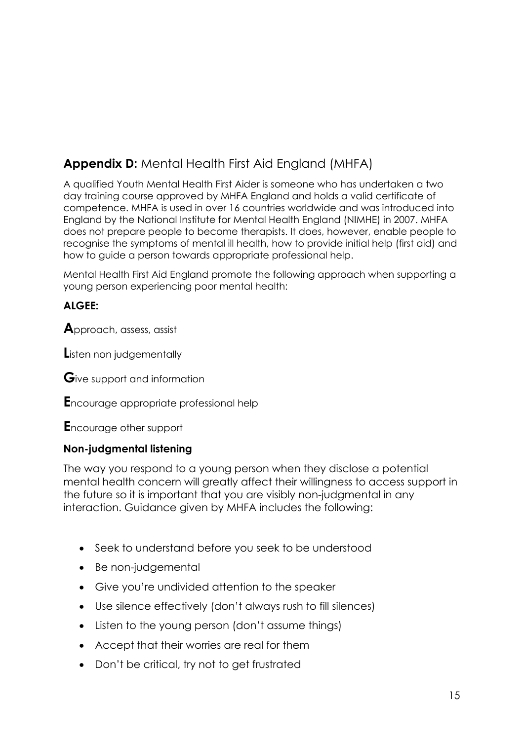# **Appendix D:** Mental Health First Aid England (MHFA)

A qualified Youth Mental Health First Aider is someone who has undertaken a two day training course approved by MHFA England and holds a valid certificate of competence. MHFA is used in over 16 countries worldwide and was introduced into England by the National Institute for Mental Health England (NIMHE) in 2007. MHFA does not prepare people to become therapists. It does, however, enable people to recognise the symptoms of mental ill health, how to provide initial help (first aid) and how to guide a person towards appropriate professional help.

Mental Health First Aid England promote the following approach when supporting a young person experiencing poor mental health:

# **ALGEE:**

**A**pproach, assess, assist

**L**isten non judgementally

**G**ive support and information

**E**ncourage appropriate professional help

**E**ncourage other support

# **Non-judgmental listening**

The way you respond to a young person when they disclose a potential mental health concern will greatly affect their willingness to access support in the future so it is important that you are visibly non-judgmental in any interaction. Guidance given by MHFA includes the following:

- Seek to understand before you seek to be understood
- Be non-judgemental
- Give you're undivided attention to the speaker
- Use silence effectively (don't always rush to fill silences)
- Listen to the young person (don't assume things)
- Accept that their worries are real for them
- Don't be critical, try not to get frustrated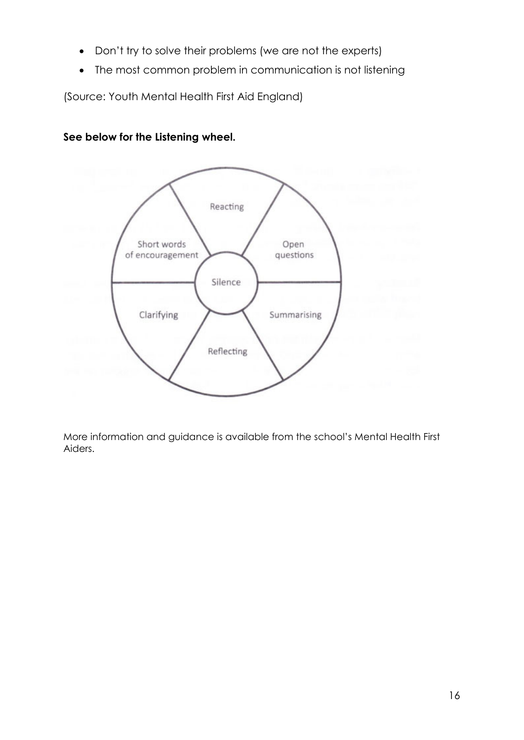- Don't try to solve their problems (we are not the experts)
- The most common problem in communication is not listening

(Source: Youth Mental Health First Aid England)

**See below for the Listening wheel.**



More information and guidance is available from the school's Mental Health First Aiders.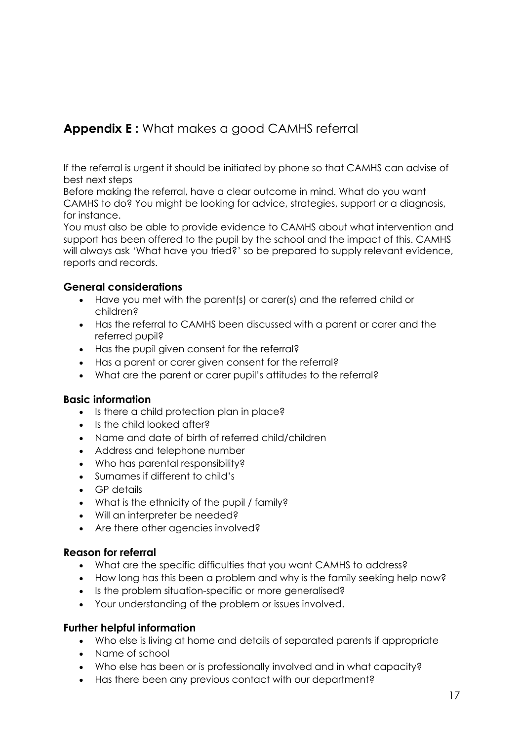# **Appendix E :** What makes a good CAMHS referral

If the referral is urgent it should be initiated by phone so that CAMHS can advise of best next steps

Before making the referral, have a clear outcome in mind. What do you want CAMHS to do? You might be looking for advice, strategies, support or a diagnosis, for instance.

You must also be able to provide evidence to CAMHS about what intervention and support has been offered to the pupil by the school and the impact of this. CAMHS will always ask 'What have you tried?' so be prepared to supply relevant evidence, reports and records.

# **General considerations**

- Have you met with the parent(s) or carer(s) and the referred child or children?
- Has the referral to CAMHS been discussed with a parent or carer and the referred pupil?
- Has the pupil given consent for the referral?
- Has a parent or carer given consent for the referral?
- What are the parent or carer pupil's attitudes to the referral?

### **Basic information**

- Is there a child protection plan in place?
- Is the child looked after?
- Name and date of birth of referred child/children
- Address and telephone number
- Who has parental responsibility?
- Surnames if different to child's
- GP details
- What is the ethnicity of the pupil / family?
- Will an interpreter be needed?
- Are there other agencies involved?

### **Reason for referral**

- What are the specific difficulties that you want CAMHS to address?
- How long has this been a problem and why is the family seeking help now?
- Is the problem situation-specific or more generalised?
- Your understanding of the problem or issues involved.

# **Further helpful information**

- Who else is living at home and details of separated parents if appropriate
- Name of school
- Who else has been or is professionally involved and in what capacity?
- Has there been any previous contact with our department?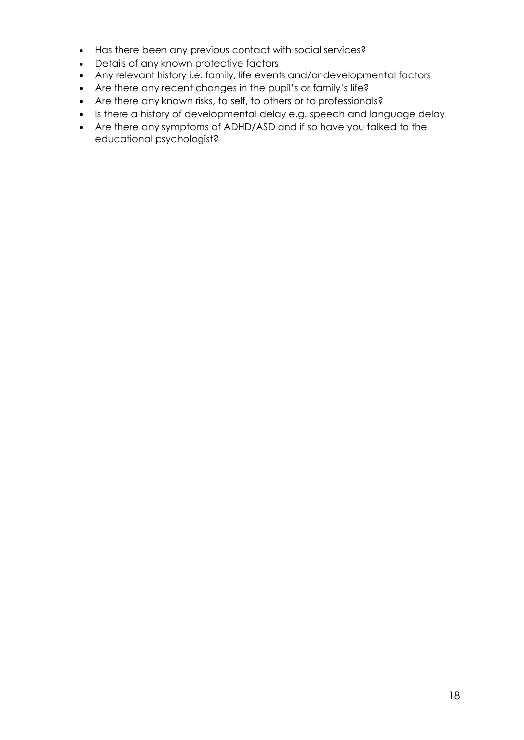- Has there been any previous contact with social services?
- Details of any known protective factors
- Any relevant history i.e. family, life events and/or developmental factors
- Are there any recent changes in the pupil's or family's life?
- Are there any known risks, to self, to others or to professionals?
- Is there a history of developmental delay e.g. speech and language delay
- Are there any symptoms of ADHD/ASD and if so have you talked to the educational psychologist?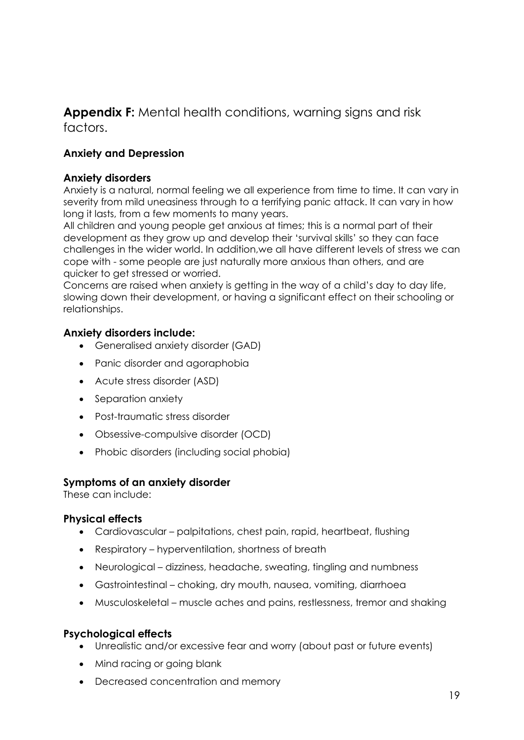**Appendix F:** Mental health conditions, warning signs and risk factors.

# **Anxiety and Depression**

### **Anxiety disorders**

Anxiety is a natural, normal feeling we all experience from time to time. It can vary in severity from mild uneasiness through to a terrifying panic attack. It can vary in how long it lasts, from a few moments to many years.

All children and young people get anxious at times; this is a normal part of their development as they grow up and develop their 'survival skills' so they can face challenges in the wider world. In addition,we all have different levels of stress we can cope with - some people are just naturally more anxious than others, and are quicker to get stressed or worried.

Concerns are raised when anxiety is getting in the way of a child's day to day life, slowing down their development, or having a significant effect on their schooling or relationships.

# **Anxiety disorders include:**

- Generalised anxiety disorder (GAD)
- Panic disorder and agoraphobia
- Acute stress disorder (ASD)
- Separation anxiety
- Post-traumatic stress disorder
- Obsessive-compulsive disorder (OCD)
- Phobic disorders (including social phobia)

### **Symptoms of an anxiety disorder**

These can include:

### **Physical effects**

- Cardiovascular palpitations, chest pain, rapid, heartbeat, flushing
- Respiratory hyperventilation, shortness of breath
- Neurological dizziness, headache, sweating, tingling and numbness
- Gastrointestinal choking, dry mouth, nausea, vomiting, diarrhoea
- Musculoskeletal muscle aches and pains, restlessness, tremor and shaking

### **Psychological effects**

- Unrealistic and/or excessive fear and worry (about past or future events)
- Mind racing or going blank
- Decreased concentration and memory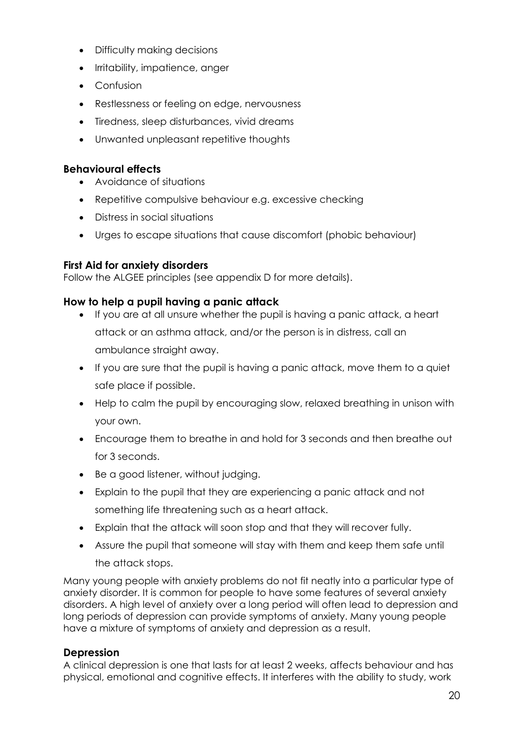- Difficulty making decisions
- Irritability, impatience, anger
- Confusion
- Restlessness or feeling on edge, nervousness
- Tiredness, sleep disturbances, vivid dreams
- Unwanted unpleasant repetitive thoughts

### **Behavioural effects**

- Avoidance of situations
- Repetitive compulsive behaviour e.g. excessive checking
- Distress in social situations
- Urges to escape situations that cause discomfort (phobic behaviour)

# **First Aid for anxiety disorders**

Follow the ALGEE principles (see appendix D for more details).

# **How to help a pupil having a panic attack**

- If you are at all unsure whether the pupil is having a panic attack, a heart attack or an asthma attack, and/or the person is in distress, call an ambulance straight away.
- If you are sure that the pupil is having a panic attack, move them to a quiet safe place if possible.
- Help to calm the pupil by encouraging slow, relaxed breathing in unison with your own.
- Encourage them to breathe in and hold for 3 seconds and then breathe out for 3 seconds.
- Be a good listener, without judging.
- Explain to the pupil that they are experiencing a panic attack and not something life threatening such as a heart attack.
- Explain that the attack will soon stop and that they will recover fully.
- Assure the pupil that someone will stay with them and keep them safe until the attack stops.

Many young people with anxiety problems do not fit neatly into a particular type of anxiety disorder. It is common for people to have some features of several anxiety disorders. A high level of anxiety over a long period will often lead to depression and long periods of depression can provide symptoms of anxiety. Many young people have a mixture of symptoms of anxiety and depression as a result.

### **Depression**

A clinical depression is one that lasts for at least 2 weeks, affects behaviour and has physical, emotional and cognitive effects. It interferes with the ability to study, work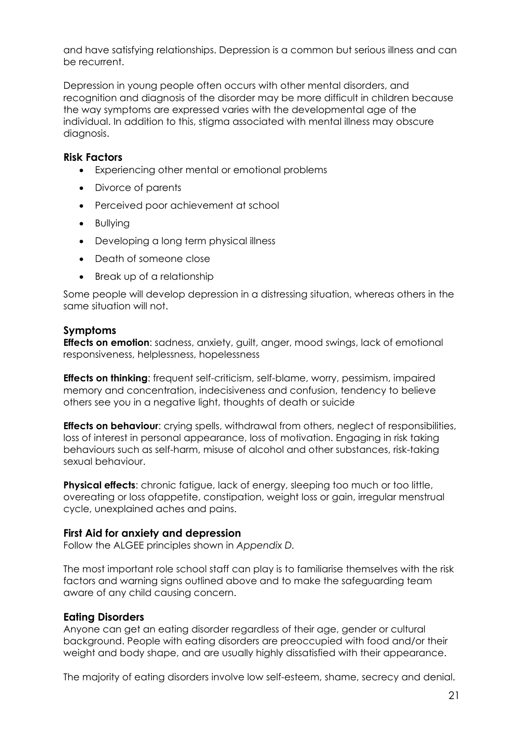and have satisfying relationships. Depression is a common but serious illness and can be recurrent.

Depression in young people often occurs with other mental disorders, and recognition and diagnosis of the disorder may be more difficult in children because the way symptoms are expressed varies with the developmental age of the individual. In addition to this, stigma associated with mental illness may obscure diagnosis.

#### **Risk Factors**

- Experiencing other mental or emotional problems
- Divorce of parents
- Perceived poor achievement at school
- Bullying
- Developing a long term physical illness
- Death of someone close
- Break up of a relationship

Some people will develop depression in a distressing situation, whereas others in the same situation will not.

#### **Symptoms**

**Effects on emotion**: sadness, anxiety, guilt, anger, mood swings, lack of emotional responsiveness, helplessness, hopelessness

**Effects on thinking**: frequent self-criticism, self-blame, worry, pessimism, impaired memory and concentration, indecisiveness and confusion, tendency to believe others see you in a negative light, thoughts of death or suicide

**Effects on behaviour:** crying spells, withdrawal from others, neglect of responsibilities, loss of interest in personal appearance, loss of motivation. Engaging in risk taking behaviours such as self-harm, misuse of alcohol and other substances, risk-taking sexual behaviour.

**Physical effects:** chronic fatigue, lack of energy, sleeping too much or too little, overeating or loss ofappetite, constipation, weight loss or gain, irregular menstrual cycle, unexplained aches and pains.

### **First Aid for anxiety and depression**

Follow the ALGEE principles shown in *Appendix D.*

The most important role school staff can play is to familiarise themselves with the risk factors and warning signs outlined above and to make the safeguarding team aware of any child causing concern.

### **Eating Disorders**

Anyone can get an eating disorder regardless of their age, gender or cultural background. People with eating disorders are preoccupied with food and/or their weight and body shape, and are usually highly dissatisfied with their appearance.

The majority of eating disorders involve low self-esteem, shame, secrecy and denial.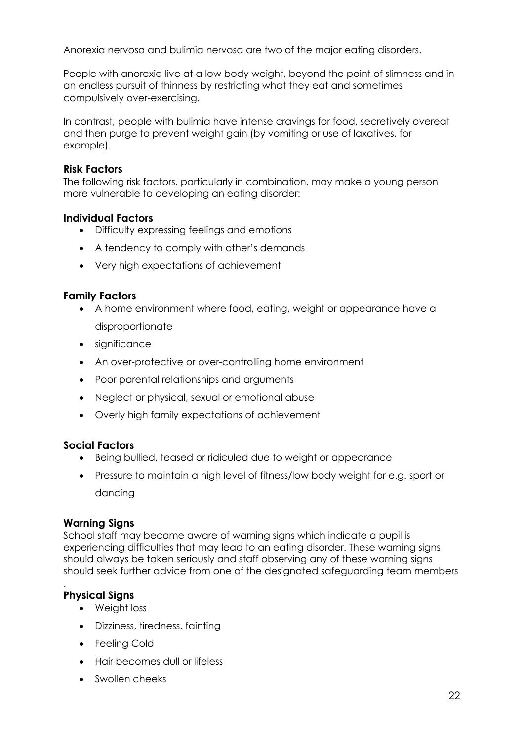Anorexia nervosa and bulimia nervosa are two of the major eating disorders.

People with anorexia live at a low body weight, beyond the point of slimness and in an endless pursuit of thinness by restricting what they eat and sometimes compulsively over-exercising.

In contrast, people with bulimia have intense cravings for food, secretively overeat and then purge to prevent weight gain (by vomiting or use of laxatives, for example).

#### **Risk Factors**

The following risk factors, particularly in combination, may make a young person more vulnerable to developing an eating disorder:

#### **Individual Factors**

- Difficulty expressing feelings and emotions
- A tendency to comply with other's demands
- Very high expectations of achievement

#### **Family Factors**

- A home environment where food, eating, weight or appearance have a disproportionate
- significance
- An over-protective or over-controlling home environment
- Poor parental relationships and arguments
- Neglect or physical, sexual or emotional abuse
- Overly high family expectations of achievement

### **Social Factors**

- Being bullied, teased or ridiculed due to weight or appearance
- Pressure to maintain a high level of fitness/low body weight for e.g. sport or dancing

#### **Warning Signs**

School staff may become aware of warning signs which indicate a pupil is experiencing difficulties that may lead to an eating disorder. These warning signs should always be taken seriously and staff observing any of these warning signs should seek further advice from one of the designated safeguarding team members

# **Physical Signs**

.

- Weight loss
- Dizziness, tiredness, fainting
- Feeling Cold
- Hair becomes dull or lifeless
- Swollen cheeks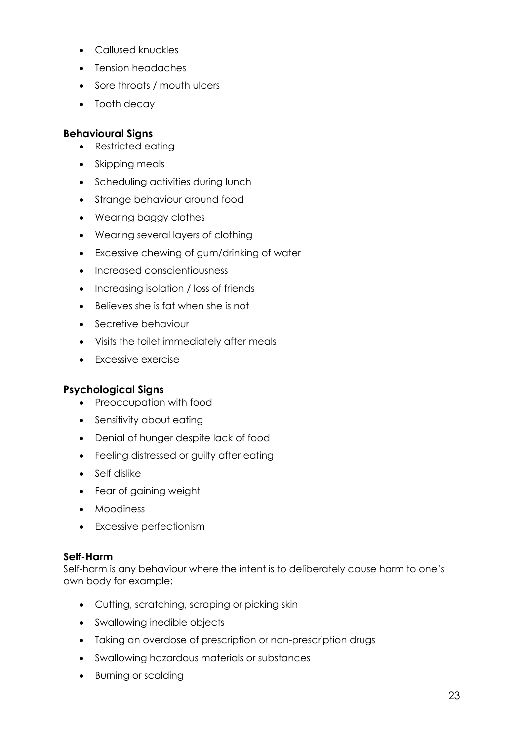- Callused knuckles
- Tension headaches
- Sore throats / mouth ulcers
- Tooth decay

# **Behavioural Signs**

- Restricted eating
- Skipping meals
- Scheduling activities during lunch
- Strange behaviour around food
- Wearing baggy clothes
- Wearing several layers of clothing
- Excessive chewing of gum/drinking of water
- Increased conscientiousness
- Increasing isolation / loss of friends
- Believes she is fat when she is not
- **Secretive behaviour**
- Visits the toilet immediately after meals
- Excessive exercise

### **Psychological Signs**

- Preoccupation with food
- Sensitivity about eating
- Denial of hunger despite lack of food
- Feeling distressed or guilty after eating
- Self dislike
- Fear of gaining weight
- Moodiness
- Excessive perfectionism

### **Self-Harm**

Self-harm is any behaviour where the intent is to deliberately cause harm to one's own body for example:

- Cutting, scratching, scraping or picking skin
- Swallowing inedible objects
- Taking an overdose of prescription or non-prescription drugs
- Swallowing hazardous materials or substances
- Burning or scalding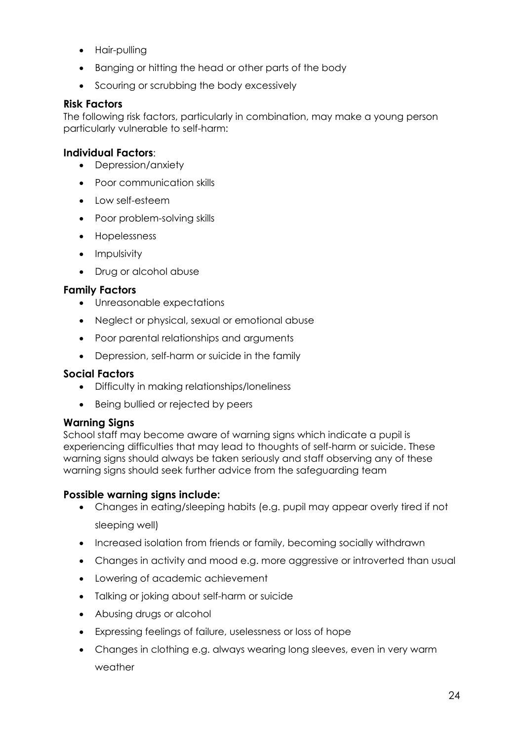- Hair-pulling
- Banging or hitting the head or other parts of the body
- Scouring or scrubbing the body excessively

# **Risk Factors**

The following risk factors, particularly in combination, may make a young person particularly vulnerable to self-harm:

### **Individual Factors**:

- Depression/anxiety
- Poor communication skills
- Low self-esteem
- Poor problem-solving skills
- Hopelessness
- Impulsivity
- Drug or alcohol abuse

# **Family Factors**

- Unreasonable expectations
- Neglect or physical, sexual or emotional abuse
- Poor parental relationships and arguments
- Depression, self-harm or suicide in the family

### **Social Factors**

- Difficulty in making relationships/loneliness
- Being bullied or rejected by peers

### **Warning Signs**

School staff may become aware of warning signs which indicate a pupil is experiencing difficulties that may lead to thoughts of self-harm or suicide. These warning signs should always be taken seriously and staff observing any of these warning signs should seek further advice from the safeguarding team

### **Possible warning signs include:**

- Changes in eating/sleeping habits (e.g. pupil may appear overly tired if not sleeping well)
- Increased isolation from friends or family, becoming socially withdrawn
- Changes in activity and mood e.g. more aggressive or introverted than usual
- Lowering of academic achievement
- Talking or joking about self-harm or suicide
- Abusing drugs or alcohol
- Expressing feelings of failure, uselessness or loss of hope
- Changes in clothing e.g. always wearing long sleeves, even in very warm weather